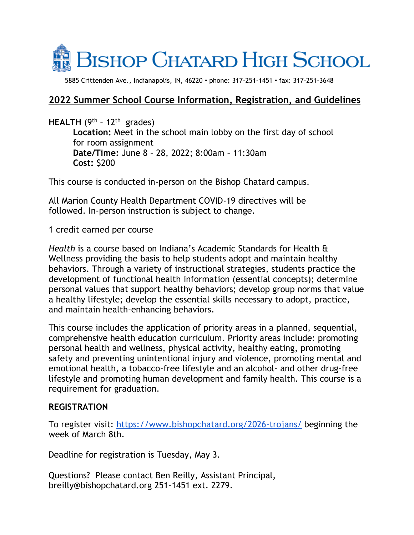

5885 Crittenden Ave., Indianapolis, IN, 46220 ▪ phone: 317-251-1451 ▪ fax: 317-251-3648

# **2022 Summer School Course Information, Registration, and Guidelines**

**HEALTH** (9th – 12th grades)

**Location:** Meet in the school main lobby on the first day of school for room assignment **Date/Time:** June 8 – 28, 2022; 8:00am – 11:30am **Cost:** \$200

This course is conducted in-person on the Bishop Chatard campus.

All Marion County Health Department COVID-19 directives will be followed. In-person instruction is subject to change.

1 credit earned per course

*Health* is a course based on Indiana's Academic Standards for Health & Wellness providing the basis to help students adopt and maintain healthy behaviors. Through a variety of instructional strategies, students practice the development of functional health information (essential concepts); determine personal values that support healthy behaviors; develop group norms that value a healthy lifestyle; develop the essential skills necessary to adopt, practice, and maintain health-enhancing behaviors.

This course includes the application of priority areas in a planned, sequential, comprehensive health education curriculum. Priority areas include: promoting personal health and wellness, physical activity, healthy eating, promoting safety and preventing unintentional injury and violence, promoting mental and emotional health, a tobacco-free lifestyle and an alcohol- and other drug-free lifestyle and promoting human development and family health. This course is a requirement for graduation.

## **REGISTRATION**

To register visit: <https://www.bishopchatard.org/2026-trojans/> beginning the week of March 8th.

Deadline for registration is Tuesday, May 3.

Questions? Please contact Ben Reilly, Assistant Principal, breilly@bishopchatard.org 251-1451 ext. 2279.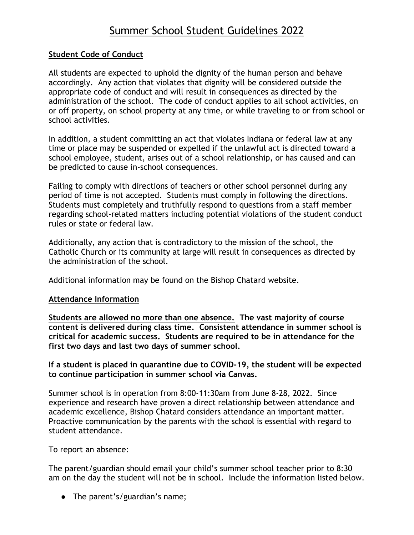# Summer School Student Guidelines 2022

#### **Student Code of Conduct**

All students are expected to uphold the dignity of the human person and behave accordingly. Any action that violates that dignity will be considered outside the appropriate code of conduct and will result in consequences as directed by the administration of the school. The code of conduct applies to all school activities, on or off property, on school property at any time, or while traveling to or from school or school activities.

In addition, a student committing an act that violates Indiana or federal law at any time or place may be suspended or expelled if the unlawful act is directed toward a school employee, student, arises out of a school relationship, or has caused and can be predicted to cause in-school consequences.

Failing to comply with directions of teachers or other school personnel during any period of time is not accepted. Students must comply in following the directions. Students must completely and truthfully respond to questions from a staff member regarding school-related matters including potential violations of the student conduct rules or state or federal law.

Additionally, any action that is contradictory to the mission of the school, the Catholic Church or its community at large will result in consequences as directed by the administration of the school.

Additional information may be found on the Bishop Chatard website.

#### **Attendance Information**

**Students are allowed no more than one absence. The vast majority of course content is delivered during class time. Consistent attendance in summer school is critical for academic success. Students are required to be in attendance for the first two days and last two days of summer school.**

**If a student is placed in quarantine due to COVID-19, the student will be expected to continue participation in summer school via Canvas.** 

Summer school is in operation from 8:00-11:30am from June 8-28, 2022. Since experience and research have proven a direct relationship between attendance and academic excellence, Bishop Chatard considers attendance an important matter. Proactive communication by the parents with the school is essential with regard to student attendance.

To report an absence:

The parent/guardian should email your child's summer school teacher prior to 8:30 am on the day the student will not be in school. Include the information listed below.

• The parent's/guardian's name;